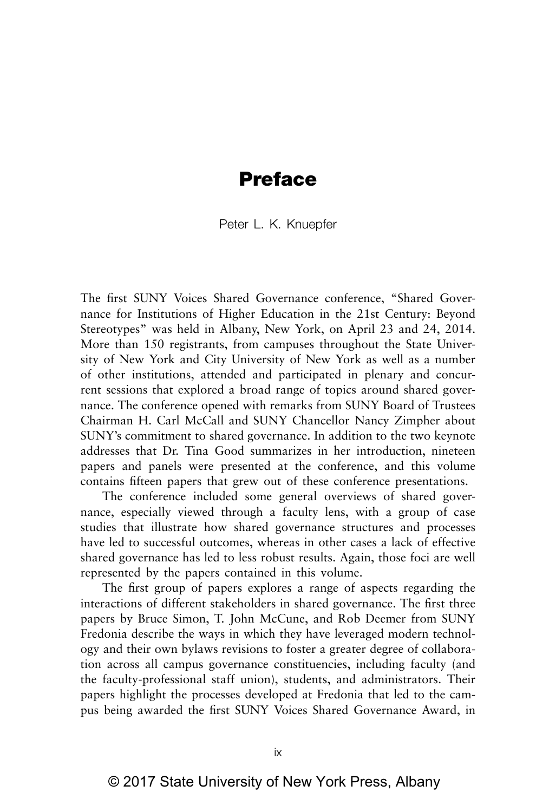### **Preface**

Peter L. K. Knuepfer

The first SUNY Voices Shared Governance conference, "Shared Governance for Institutions of Higher Education in the 21st Century: Beyond Stereotypes" was held in Albany, New York, on April 23 and 24, 2014. More than 150 registrants, from campuses throughout the State University of New York and City University of New York as well as a number of other institutions, attended and participated in plenary and concurrent sessions that explored a broad range of topics around shared governance. The conference opened with remarks from SUNY Board of Trustees Chairman H. Carl McCall and SUNY Chancellor Nancy Zimpher about SUNY's commitment to shared governance. In addition to the two keynote addresses that Dr. Tina Good summarizes in her introduction, nineteen papers and panels were presented at the conference, and this volume contains fifteen papers that grew out of these conference presentations.

The conference included some general overviews of shared governance, especially viewed through a faculty lens, with a group of case studies that illustrate how shared governance structures and processes have led to successful outcomes, whereas in other cases a lack of effective shared governance has led to less robust results. Again, those foci are well represented by the papers contained in this volume.

The first group of papers explores a range of aspects regarding the interactions of different stakeholders in shared governance. The first three papers by Bruce Simon, T. John McCune, and Rob Deemer from SUNY Fredonia describe the ways in which they have leveraged modern technology and their own bylaws revisions to foster a greater degree of collaboration across all campus governance constituencies, including faculty (and the faculty-professional staff union), students, and administrators. Their papers highlight the processes developed at Fredonia that led to the campus being awarded the first SUNY Voices Shared Governance Award, in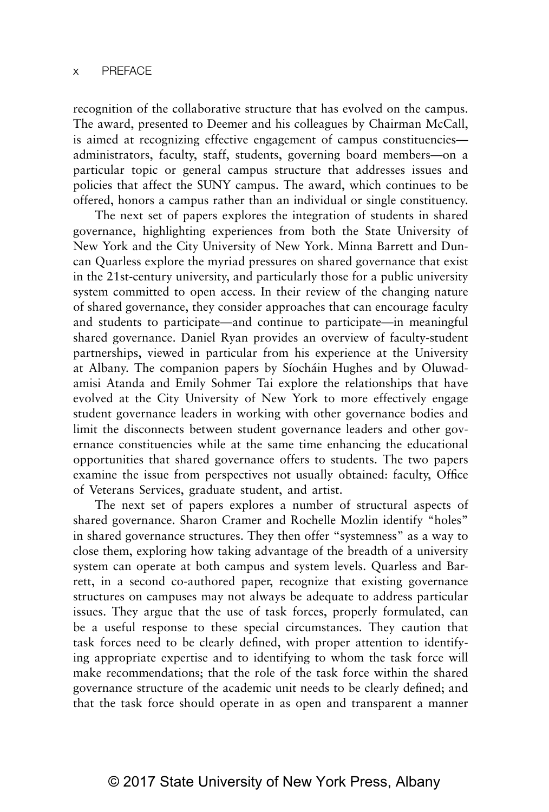recognition of the collaborative structure that has evolved on the campus. The award, presented to Deemer and his colleagues by Chairman McCall, is aimed at recognizing effective engagement of campus constituencies administrators, faculty, staff, students, governing board members—on a particular topic or general campus structure that addresses issues and policies that affect the SUNY campus. The award, which continues to be offered, honors a campus rather than an individual or single constituency.

The next set of papers explores the integration of students in shared governance, highlighting experiences from both the State University of New York and the City University of New York. Minna Barrett and Duncan Quarless explore the myriad pressures on shared governance that exist in the 21st-century university, and particularly those for a public university system committed to open access. In their review of the changing nature of shared governance, they consider approaches that can encourage faculty and students to participate—and continue to participate—in meaningful shared governance. Daniel Ryan provides an overview of faculty-student partnerships, viewed in particular from his experience at the University at Albany. The companion papers by Síocháin Hughes and by Oluwadamisi Atanda and Emily Sohmer Tai explore the relationships that have evolved at the City University of New York to more effectively engage student governance leaders in working with other governance bodies and limit the disconnects between student governance leaders and other governance constituencies while at the same time enhancing the educational opportunities that shared governance offers to students. The two papers examine the issue from perspectives not usually obtained: faculty, Office of Veterans Services, graduate student, and artist.

The next set of papers explores a number of structural aspects of shared governance. Sharon Cramer and Rochelle Mozlin identify "holes" in shared governance structures. They then offer "systemness" as a way to close them, exploring how taking advantage of the breadth of a university system can operate at both campus and system levels. Quarless and Barrett, in a second co-authored paper, recognize that existing governance structures on campuses may not always be adequate to address particular issues. They argue that the use of task forces, properly formulated, can be a useful response to these special circumstances. They caution that task forces need to be clearly defined, with proper attention to identifying appropriate expertise and to identifying to whom the task force will make recommendations; that the role of the task force within the shared governance structure of the academic unit needs to be clearly defined; and that the task force should operate in as open and transparent a manner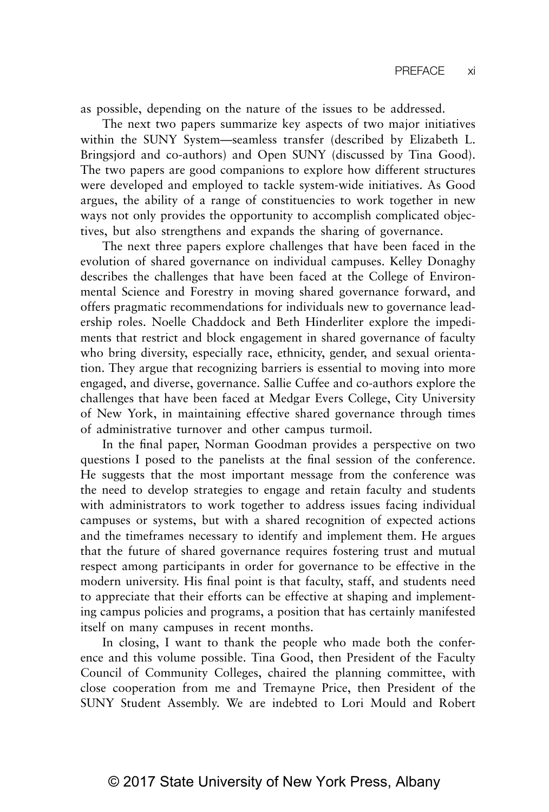as possible, depending on the nature of the issues to be addressed.

The next two papers summarize key aspects of two major initiatives within the SUNY System—seamless transfer (described by Elizabeth L. Bringsjord and co-authors) and Open SUNY (discussed by Tina Good). The two papers are good companions to explore how different structures were developed and employed to tackle system-wide initiatives. As Good argues, the ability of a range of constituencies to work together in new ways not only provides the opportunity to accomplish complicated objectives, but also strengthens and expands the sharing of governance.

The next three papers explore challenges that have been faced in the evolution of shared governance on individual campuses. Kelley Donaghy describes the challenges that have been faced at the College of Environmental Science and Forestry in moving shared governance forward, and offers pragmatic recommendations for individuals new to governance leadership roles. Noelle Chaddock and Beth Hinderliter explore the impediments that restrict and block engagement in shared governance of faculty who bring diversity, especially race, ethnicity, gender, and sexual orientation. They argue that recognizing barriers is essential to moving into more engaged, and diverse, governance. Sallie Cuffee and co-authors explore the challenges that have been faced at Medgar Evers College, City University of New York, in maintaining effective shared governance through times of administrative turnover and other campus turmoil.

In the final paper, Norman Goodman provides a perspective on two questions I posed to the panelists at the final session of the conference. He suggests that the most important message from the conference was the need to develop strategies to engage and retain faculty and students with administrators to work together to address issues facing individual campuses or systems, but with a shared recognition of expected actions and the timeframes necessary to identify and implement them. He argues that the future of shared governance requires fostering trust and mutual respect among participants in order for governance to be effective in the modern university. His final point is that faculty, staff, and students need to appreciate that their efforts can be effective at shaping and implementing campus policies and programs, a position that has certainly manifested itself on many campuses in recent months.

In closing, I want to thank the people who made both the conference and this volume possible. Tina Good, then President of the Faculty Council of Community Colleges, chaired the planning committee, with close cooperation from me and Tremayne Price, then President of the SUNY Student Assembly. We are indebted to Lori Mould and Robert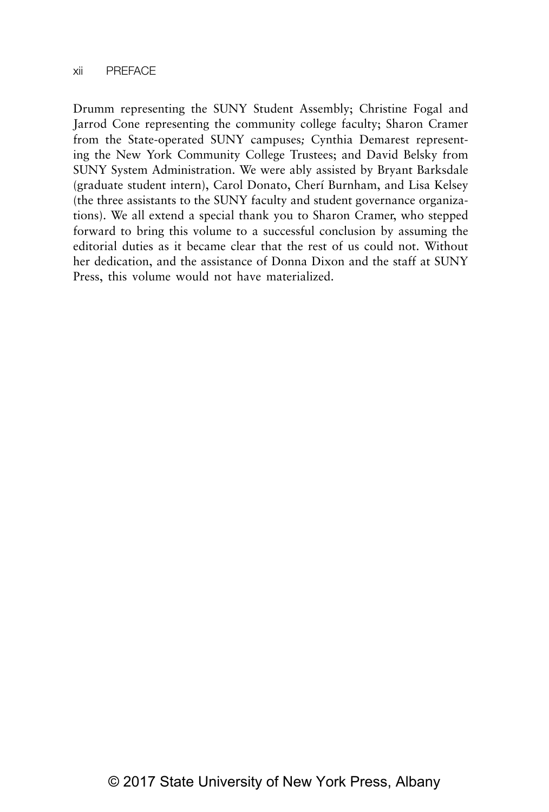Drumm representing the SUNY Student Assembly; Christine Fogal and Jarrod Cone representing the community college faculty; Sharon Cramer from the State-operated SUNY campuses*;* Cynthia Demarest representing the New York Community College Trustees; and David Belsky from SUNY System Administration. We were ably assisted by Bryant Barksdale (graduate student intern), Carol Donato, Cherí Burnham, and Lisa Kelsey (the three assistants to the SUNY faculty and student governance organizations). We all extend a special thank you to Sharon Cramer, who stepped forward to bring this volume to a successful conclusion by assuming the editorial duties as it became clear that the rest of us could not. Without her dedication, and the assistance of Donna Dixon and the staff at SUNY Press, this volume would not have materialized.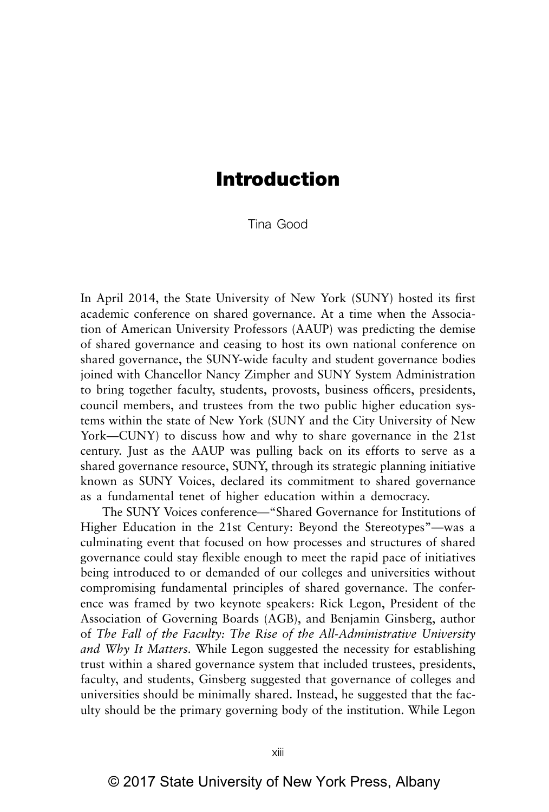# **Introduction**

Tina Good

In April 2014, the State University of New York (SUNY) hosted its first academic conference on shared governance. At a time when the Association of American University Professors (AAUP) was predicting the demise of shared governance and ceasing to host its own national conference on shared governance, the SUNY-wide faculty and student governance bodies joined with Chancellor Nancy Zimpher and SUNY System Administration to bring together faculty, students, provosts, business officers, presidents, council members, and trustees from the two public higher education systems within the state of New York (SUNY and the City University of New York—CUNY) to discuss how and why to share governance in the 21st century. Just as the AAUP was pulling back on its efforts to serve as a shared governance resource, SUNY, through its strategic planning initiative known as SUNY Voices, declared its commitment to shared governance as a fundamental tenet of higher education within a democracy.

The SUNY Voices conference—"Shared Governance for Institutions of Higher Education in the 21st Century: Beyond the Stereotypes"—was a culminating event that focused on how processes and structures of shared governance could stay flexible enough to meet the rapid pace of initiatives being introduced to or demanded of our colleges and universities without compromising fundamental principles of shared governance. The conference was framed by two keynote speakers: Rick Legon, President of the Association of Governing Boards (AGB), and Benjamin Ginsberg, author of *The Fall of the Faculty: The Rise of the All-Administrative University and Why It Matters.* While Legon suggested the necessity for establishing trust within a shared governance system that included trustees, presidents, faculty, and students, Ginsberg suggested that governance of colleges and universities should be minimally shared. Instead, he suggested that the faculty should be the primary governing body of the institution. While Legon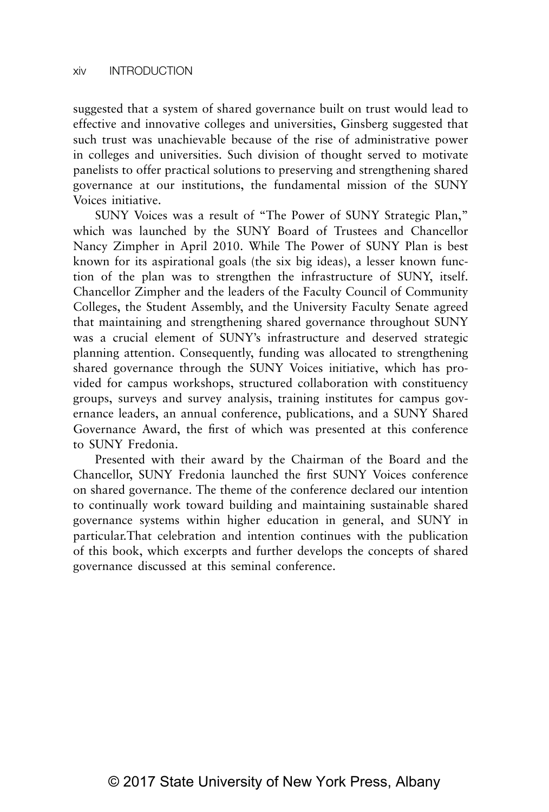suggested that a system of shared governance built on trust would lead to effective and innovative colleges and universities, Ginsberg suggested that such trust was unachievable because of the rise of administrative power in colleges and universities. Such division of thought served to motivate panelists to offer practical solutions to preserving and strengthening shared governance at our institutions, the fundamental mission of the SUNY Voices initiative.

SUNY Voices was a result of "The Power of SUNY Strategic Plan," which was launched by the SUNY Board of Trustees and Chancellor Nancy Zimpher in April 2010. While The Power of SUNY Plan is best known for its aspirational goals (the six big ideas), a lesser known function of the plan was to strengthen the infrastructure of SUNY, itself. Chancellor Zimpher and the leaders of the Faculty Council of Community Colleges, the Student Assembly, and the University Faculty Senate agreed that maintaining and strengthening shared governance throughout SUNY was a crucial element of SUNY's infrastructure and deserved strategic planning attention. Consequently, funding was allocated to strengthening shared governance through the SUNY Voices initiative, which has provided for campus workshops, structured collaboration with constituency groups, surveys and survey analysis, training institutes for campus governance leaders, an annual conference, publications, and a SUNY Shared Governance Award, the first of which was presented at this conference to SUNY Fredonia.

Presented with their award by the Chairman of the Board and the Chancellor, SUNY Fredonia launched the first SUNY Voices conference on shared governance. The theme of the conference declared our intention to continually work toward building and maintaining sustainable shared governance systems within higher education in general, and SUNY in particular.That celebration and intention continues with the publication of this book, which excerpts and further develops the concepts of shared governance discussed at this seminal conference.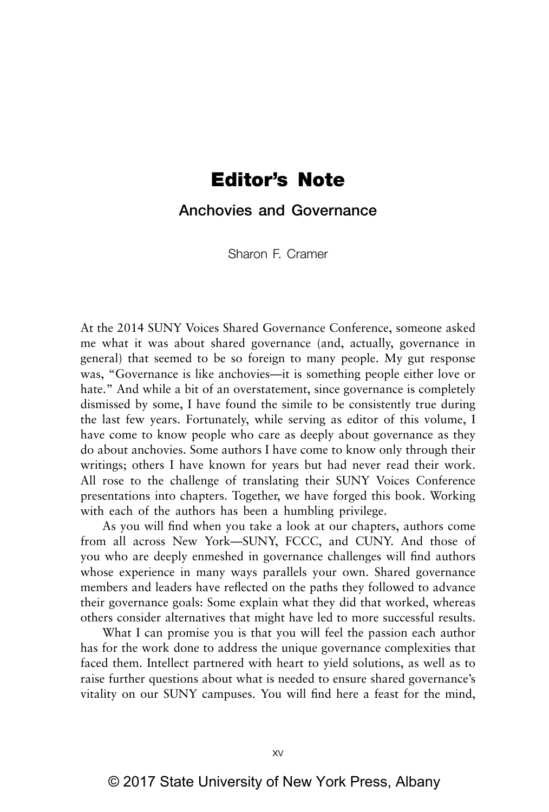# **Editor's Note**

**Anchovies and Governance**

Sharon F. Cramer

At the 2014 SUNY Voices Shared Governance Conference, someone asked me what it was about shared governance (and, actually, governance in general) that seemed to be so foreign to many people. My gut response was, "Governance is like anchovies—it is something people either love or hate." And while a bit of an overstatement, since governance is completely dismissed by some, I have found the simile to be consistently true during the last few years. Fortunately, while serving as editor of this volume, I have come to know people who care as deeply about governance as they do about anchovies. Some authors I have come to know only through their writings; others I have known for years but had never read their work. All rose to the challenge of translating their SUNY Voices Conference presentations into chapters. Together, we have forged this book. Working with each of the authors has been a humbling privilege.

As you will find when you take a look at our chapters, authors come from all across New York—SUNY, FCCC, and CUNY. And those of you who are deeply enmeshed in governance challenges will find authors whose experience in many ways parallels your own. Shared governance members and leaders have reflected on the paths they followed to advance their governance goals: Some explain what they did that worked, whereas others consider alternatives that might have led to more successful results.

What I can promise you is that you will feel the passion each author has for the work done to address the unique governance complexities that faced them. Intellect partnered with heart to yield solutions, as well as to raise further questions about what is needed to ensure shared governance's vitality on our SUNY campuses. You will find here a feast for the mind,